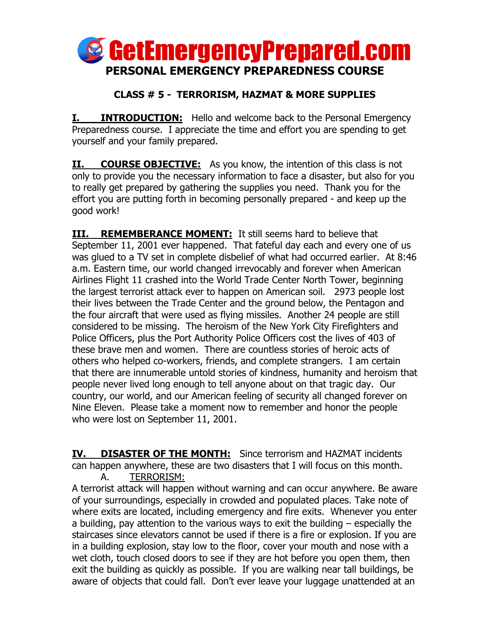

## **CLASS # 5 - TERRORISM, HAZMAT & MORE SUPPLIES**

**I. INTRODUCTION:** Hello and welcome back to the Personal Emergency Preparedness course. I appreciate the time and effort you are spending to get yourself and your family prepared.

**II. COURSE OBJECTIVE:** As you know, the intention of this class is not only to provide you the necessary information to face a disaster, but also for you to really get prepared by gathering the supplies you need. Thank you for the effort you are putting forth in becoming personally prepared - and keep up the good work!

**III. REMEMBERANCE MOMENT:** It still seems hard to believe that September 11, 2001 ever happened. That fateful day each and every one of us was glued to a TV set in complete disbelief of what had occurred earlier. At 8:46 a.m. Eastern time, our world changed irrevocably and forever when American Airlines Flight 11 crashed into the World Trade Center North Tower, beginning the largest terrorist attack ever to happen on American soil. 2973 people lost their lives between the Trade Center and the ground below, the Pentagon and the four aircraft that were used as flying missiles. Another 24 people are still considered to be missing. The heroism of the New York City Firefighters and Police Officers, plus the Port Authority Police Officers cost the lives of 403 of these brave men and women. There are countless stories of heroic acts of others who helped co-workers, friends, and complete strangers. I am certain that there are innumerable untold stories of kindness, humanity and heroism that people never lived long enough to tell anyone about on that tragic day. Our country, our world, and our American feeling of security all changed forever on Nine Eleven. Please take a moment now to remember and honor the people who were lost on September 11, 2001.

**IV. DISASTER OF THE MONTH:** Since terrorism and HAZMAT incidents can happen anywhere, these are two disasters that I will focus on this month. A. TERRORISM:

A terrorist attack will happen without warning and can occur anywhere. Be aware of your surroundings, especially in crowded and populated places. Take note of where exits are located, including emergency and fire exits. Whenever you enter a building, pay attention to the various ways to exit the building – especially the staircases since elevators cannot be used if there is a fire or explosion. If you are in a building explosion, stay low to the floor, cover your mouth and nose with a wet cloth, touch closed doors to see if they are hot before you open them, then exit the building as quickly as possible. If you are walking near tall buildings, be aware of objects that could fall. Don't ever leave your luggage unattended at an